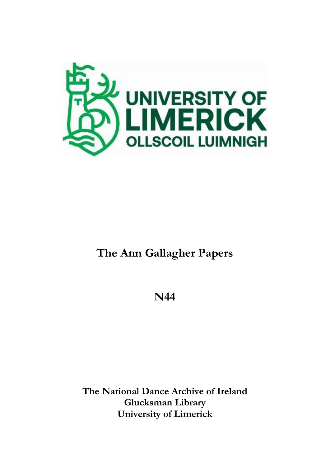

# **The Ann Gallagher Papers**

**N44**

**The National Dance Archive of Ireland Glucksman Library University of Limerick**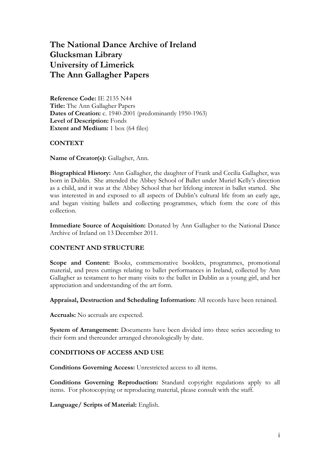# **The National Dance Archive of Ireland Glucksman Library University of Limerick The Ann Gallagher Papers**

**Reference Code:** IE 2135 N44 **Title:** The Ann Gallagher Papers **Dates of Creation:** c. 1940-2001 (predominantly 1950-1963) **Level of Description:** Fonds **Extent and Medium:** 1 box (64 files)

#### **CONTEXT**

**Name of Creator(s):** Gallagher, Ann.

**Biographical History:** Ann Gallagher, the daughter of Frank and Cecilia Gallagher, was born in Dublin. She attended the Abbey School of Ballet under Muriel Kelly's direction as a child, and it was at the Abbey School that her lifelong interest in ballet started. She was interested in and exposed to all aspects of Dublin's cultural life from an early age, and began visiting ballets and collecting programmes, which form the core of this collection.

**Immediate Source of Acquisition:** Donated by Ann Gallagher to the National Dance Archive of Ireland on 13 December 2011.

#### **CONTENT AND STRUCTURE**

**Scope and Content:** Books, commemorative booklets, programmes, promotional material, and press cuttings relating to ballet performances in Ireland, collected by Ann Gallagher as testament to her many visits to the ballet in Dublin as a young girl, and her appreciation and understanding of the art form.

**Appraisal, Destruction and Scheduling Information:** All records have been retained.

**Accruals:** No accruals are expected.

**System of Arrangement:** Documents have been divided into three series according to their form and thereunder arranged chronologically by date.

#### **CONDITIONS OF ACCESS AND USE**

**Conditions Governing Access:** Unrestricted access to all items.

**Conditions Governing Reproduction:** Standard copyright regulations apply to all items. For photocopying or reproducing material, please consult with the staff.

**Language/ Scripts of Material:** English.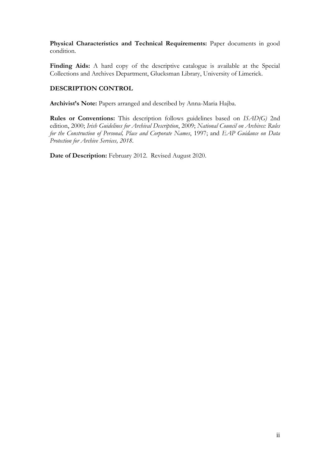**Physical Characteristics and Technical Requirements:** Paper documents in good condition.

Finding Aids: A hard copy of the descriptive catalogue is available at the Special Collections and Archives Department, Glucksman Library, University of Limerick.

### **DESCRIPTION CONTROL**

**Archivist's Note:** Papers arranged and described by Anna-Maria Hajba.

**Rules or Conventions:** This description follows guidelines based on *ISAD(G)* 2nd edition, 2000; *Irish Guidelines for Archival Description*, 2009; *National Council on Archives: Rules for the Construction of Personal, Place and Corporate Names*, 1997; and *EAP Guidance on Data Protection for Archive Services, 2018*.

**Date of Description:** February 2012. Revised August 2020.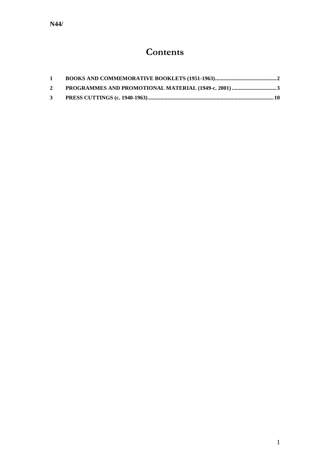# **Contents**

| $\mathbf{1}$ |  |
|--------------|--|
| $2^{\circ}$  |  |
| $\mathbf{3}$ |  |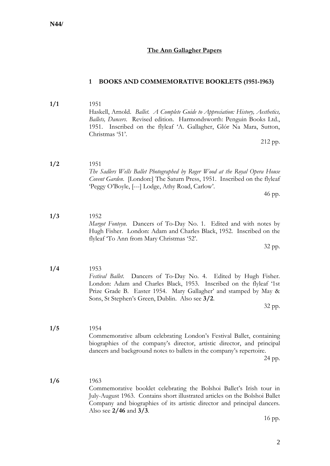#### **The Ann Gallagher Papers**

#### <span id="page-4-0"></span>**1 BOOKS AND COMMEMORATIVE BOOKLETS (1951-1963)**

- **1/1** 1951 Haskell, Arnold. *Ballet. A Complete Guide to Appreciation: History, Aesthetics, Ballets, Dancers*. Revised edition. Harmondsworth: Penguin Books Ltd., 1951. Inscribed on the flyleaf 'A. Gallagher, Glór Na Mara, Sutton, Christmas '51'. 212 pp.
- **1/2** 1951 *The Sadlers Wells Ballet Photographed by Roger Wood at the Royal Opera House Covent Garden*. [London:] The Saturn Press, 1951. Inscribed on the flyleaf 'Peggy O'Boyle, [---] Lodge, Athy Road, Carlow'.

46 pp.

**1/3** 1952 *Margot Fonteyn*. Dancers of To-Day No. 1. Edited and with notes by Hugh Fisher. London: Adam and Charles Black, 1952. Inscribed on the flyleaf 'To Ann from Mary Christmas '52'.

32 pp.

- **1/4** 1953 *Festival Ballet*. Dancers of To-Day No. 4. Edited by Hugh Fisher. London: Adam and Charles Black, 1953. Inscribed on the flyleaf '1st Prize Grade B. Easter 1954. Mary Gallagher' and stamped by May & Sons, St Stephen's Green, Dublin. Also see **3/2**. 32 pp.
- **1/5** 1954 Commemorative album celebrating London's Festival Ballet, containing biographies of the company's director, artistic director, and principal dancers and background notes to ballets in the company's repertoire. 24 pp.
- **1/6** 1963 Commemorative booklet celebrating the Bolshoi Ballet's Irish tour in July-August 1963. Contains short illustrated articles on the Bolshoi Ballet Company and biographies of its artistic director and principal dancers. Also see **2/46** and **3/3**.

16 pp.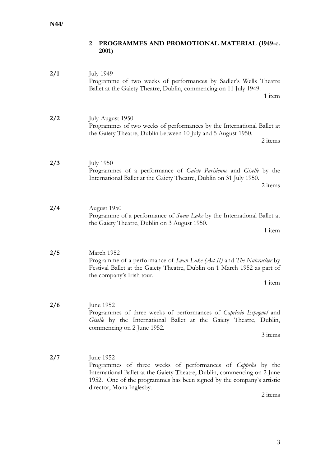# <span id="page-5-0"></span>**2 PROGRAMMES AND PROMOTIONAL MATERIAL (1949-c. 2001)**

| 2/1 | <b>July 1949</b><br>Programme of two weeks of performances by Sadler's Wells Theatre<br>Ballet at the Gaiety Theatre, Dublin, commencing on 11 July 1949.<br>1 item                                                                                                          |
|-----|------------------------------------------------------------------------------------------------------------------------------------------------------------------------------------------------------------------------------------------------------------------------------|
| 2/2 | July-August 1950<br>Programmes of two weeks of performances by the International Ballet at<br>the Gaiety Theatre, Dublin between 10 July and 5 August 1950.<br>2 items                                                                                                       |
| 2/3 | <b>July 1950</b><br>Programmes of a performance of Gaiete Parisienne and Giselle by the<br>International Ballet at the Gaiety Theatre, Dublin on 31 July 1950.<br>2 items                                                                                                    |
| 2/4 | August 1950<br>Programme of a performance of <i>Swan Lake</i> by the International Ballet at<br>the Gaiety Theatre, Dublin on 3 August 1950.<br>1 item                                                                                                                       |
| 2/5 | March 1952<br>Programme of a performance of Swan Lake (Act II) and The Nutcracker by<br>Festival Ballet at the Gaiety Theatre, Dublin on 1 March 1952 as part of<br>the company's Irish tour.<br>1 item                                                                      |
| 2/6 | June 1952<br>Programmes of three weeks of performances of Capriccio Espagnol and<br>Giselle by the International Ballet at the Gaiety Theatre, Dublin,<br>commencing on 2 June 1952.<br>3 items                                                                              |
| 2/7 | June 1952<br>Programmes of three weeks of performances of <i>Coppelia</i> by the<br>International Ballet at the Gaiety Theatre, Dublin, commencing on 2 June<br>1952. One of the programmes has been signed by the company's artistic<br>director, Mona Inglesby.<br>2 items |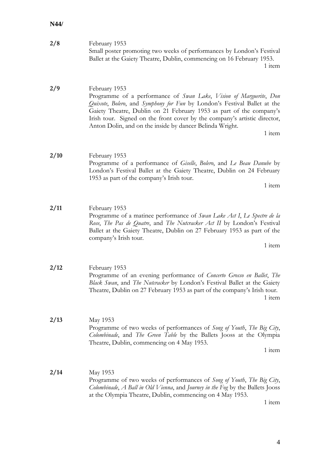| 2/8  | February 1953<br>Small poster promoting two weeks of performances by London's Festival<br>Ballet at the Gaiety Theatre, Dublin, commencing on 16 February 1953.<br>1 item                                                                                                                                                                                                                 |
|------|-------------------------------------------------------------------------------------------------------------------------------------------------------------------------------------------------------------------------------------------------------------------------------------------------------------------------------------------------------------------------------------------|
| 2/9  | February 1953<br>Programme of a performance of Swan Lake, Vision of Marguerite, Don<br>Quixote, Bolero, and Symphony for Fun by London's Festival Ballet at the<br>Gaiety Theatre, Dublin on 21 February 1953 as part of the company's<br>Irish tour. Signed on the front cover by the company's artistic director,<br>Anton Dolin, and on the inside by dancer Belinda Wright.<br>1 item |
| 2/10 | February 1953<br>Programme of a performance of Giselle, Bolero, and Le Beau Danube by<br>London's Festival Ballet at the Gaiety Theatre, Dublin on 24 February<br>1953 as part of the company's Irish tour.<br>1 item                                                                                                                                                                     |
| 2/11 | February 1953<br>Programme of a matinee performance of Swan Lake Act I, Le Spectre de la<br>Rose, The Pas de Quatre, and The Nutcracker Act II by London's Festival<br>Ballet at the Gaiety Theatre, Dublin on 27 February 1953 as part of the<br>company's Irish tour.<br>1 item                                                                                                         |
| 2/12 | February 1953<br>Programme of an evening performance of Concerto Grosso en Ballet, The<br>Black Swan, and The Nutcracker by London's Festival Ballet at the Gaiety<br>Theatre, Dublin on 27 February 1953 as part of the company's Irish tour.<br>1 item                                                                                                                                  |
| 2/13 | May 1953<br>Programme of two weeks of performances of Song of Youth, The Big City,<br>Colombinade, and The Green Table by the Ballets Jooss at the Olympia<br>Theatre, Dublin, commencing on 4 May 1953.<br>1 item                                                                                                                                                                        |
| 2/14 | May 1953<br>Programme of two weeks of performances of Song of Youth, The Big City,<br>Colombinade, A Ball in Old Vienna, and Journey in the Fog by the Ballets Jooss<br>at the Olympia Theatre, Dublin, commencing on 4 May 1953.<br>$1$ item                                                                                                                                             |

1 item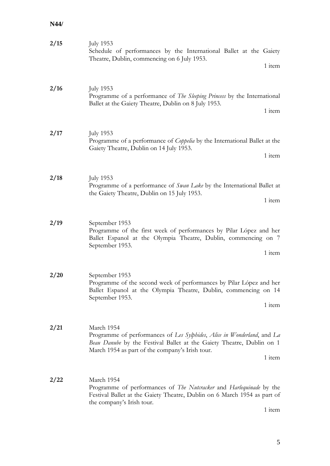| 2/15 | <b>July 1953</b><br>Schedule of performances by the International Ballet at the Gaiety<br>Theatre, Dublin, commencing on 6 July 1953.                                                                                       |
|------|-----------------------------------------------------------------------------------------------------------------------------------------------------------------------------------------------------------------------------|
|      | 1 item                                                                                                                                                                                                                      |
| 2/16 | <b>July 1953</b><br>Programme of a performance of The Sleeping Princess by the International<br>Ballet at the Gaiety Theatre, Dublin on 8 July 1953.<br>1 item                                                              |
| 2/17 | <b>July 1953</b><br>Programme of a performance of <i>Coppelia</i> by the International Ballet at the<br>Gaiety Theatre, Dublin on 14 July 1953.<br>1 item                                                                   |
| 2/18 | <b>July 1953</b><br>Programme of a performance of <i>Swan Lake</i> by the International Ballet at<br>the Gaiety Theatre, Dublin on 15 July 1953.<br>1 item                                                                  |
| 2/19 | September 1953<br>Programme of the first week of performances by Pilar López and her<br>Ballet Espanol at the Olympia Theatre, Dublin, commencing on 7<br>September 1953.<br>1 item                                         |
| 2/20 | September 1953<br>Programme of the second week of performances by Pilar López and her<br>Ballet Espanol at the Olympia Theatre, Dublin, commencing on 14<br>September 1953.<br>1 item                                       |
| 2/21 | March 1954<br>Programme of performances of Les Sylphides, Alice in Wonderland, and La<br>Beau Danube by the Festival Ballet at the Gaiety Theatre, Dublin on 1<br>March 1954 as part of the company's Irish tour.<br>1 item |
| 2/22 | March 1954<br>Programme of performances of <i>The Nuteracker</i> and <i>Harlequinade</i> by the<br>Festival Ballet at the Gaiety Theatre, Dublin on 6 March 1954 as part of<br>the company's Irish tour.                    |

1 item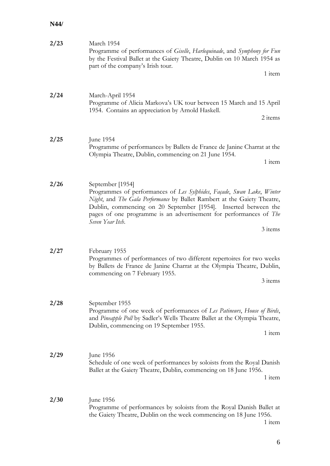| 2/23 | March 1954<br>Programme of performances of Giselle, Harlequinade, and Symphony for Fun<br>by the Festival Ballet at the Gaiety Theatre, Dublin on 10 March 1954 as<br>part of the company's Irish tour.<br>1 item                                                                                                                              |
|------|------------------------------------------------------------------------------------------------------------------------------------------------------------------------------------------------------------------------------------------------------------------------------------------------------------------------------------------------|
| 2/24 | March-April 1954<br>Programme of Alicia Markova's UK tour between 15 March and 15 April<br>1954. Contains an appreciation by Arnold Haskell.<br>2 items                                                                                                                                                                                        |
| 2/25 | June 1954<br>Programme of performances by Ballets de France de Janine Charrat at the<br>Olympia Theatre, Dublin, commencing on 21 June 1954.<br>1 item                                                                                                                                                                                         |
| 2/26 | September [1954]<br>Programmes of performances of Les Sylphides, Façade, Swan Lake, Winter<br>Night, and The Gala Performance by Ballet Rambert at the Gaiety Theatre,<br>Dublin, commencing on 20 September [1954]. Inserted between the<br>pages of one programme is an advertisement for performances of The<br>Seven Year Itch.<br>3 items |
| 2/27 | February 1955<br>Programmes of performances of two different repertoires for two weeks<br>by Ballets de France de Janine Charrat at the Olympia Theatre, Dublin,<br>commencing on 7 February 1955.<br>3 items                                                                                                                                  |
| 2/28 | September 1955<br>Programme of one week of performances of Les Patineurs, House of Birds,<br>and Pineapple Poll by Sadler's Wells Theatre Ballet at the Olympia Theatre,<br>Dublin, commencing on 19 September 1955.<br>1 item                                                                                                                 |
| 2/29 | June 1956<br>Schedule of one week of performances by soloists from the Royal Danish<br>Ballet at the Gaiety Theatre, Dublin, commencing on 18 June 1956.<br>1 item                                                                                                                                                                             |
| 2/30 | June 1956<br>Programme of performances by soloists from the Royal Danish Ballet at<br>the Gaiety Theatre, Dublin on the week commencing on 18 June 1956.<br>1 item                                                                                                                                                                             |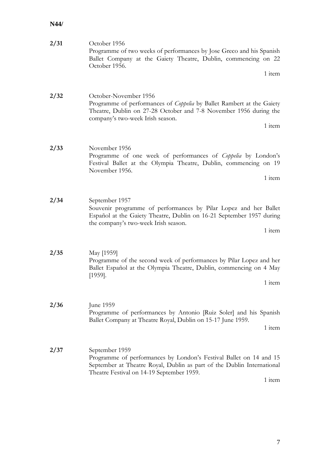| 2/31 | October 1956<br>Programme of two weeks of performances by Jose Greco and his Spanish<br>Ballet Company at the Gaiety Theatre, Dublin, commencing on 22<br>October 1956.<br>1 item                                     |
|------|-----------------------------------------------------------------------------------------------------------------------------------------------------------------------------------------------------------------------|
|      |                                                                                                                                                                                                                       |
| 2/32 | October-November 1956<br>Programme of performances of Coppelia by Ballet Rambert at the Gaiety<br>Theatre, Dublin on 27-28 October and 7-8 November 1956 during the<br>company's two-week Irish season.               |
|      | 1 item                                                                                                                                                                                                                |
| 2/33 | November 1956<br>Programme of one week of performances of <i>Coppelia</i> by London's<br>Festival Ballet at the Olympia Theatre, Dublin, commencing on 19<br>November 1956.                                           |
|      | 1 item                                                                                                                                                                                                                |
|      |                                                                                                                                                                                                                       |
| 2/34 | September 1957<br>Souvenir programme of performances by Pilar Lopez and her Ballet<br>Español at the Gaiety Theatre, Dublin on 16-21 September 1957 during<br>the company's two-week Irish season.<br>1 item          |
| 2/35 | May [1959]<br>Programme of the second week of performances by Pilar Lopez and her<br>Ballet Español at the Olympia Theatre, Dublin, commencing on 4 May<br>$[1959]$ .<br>1 item                                       |
| 2/36 | June 1959<br>Programme of performances by Antonio [Ruiz Soler] and his Spanish<br>Ballet Company at Theatre Royal, Dublin on 15-17 June 1959.<br>1 item                                                               |
| 2/37 | September 1959<br>Programme of performances by London's Festival Ballet on 14 and 15<br>September at Theatre Royal, Dublin as part of the Dublin International<br>Theatre Festival on 14-19 September 1959.<br>1 item |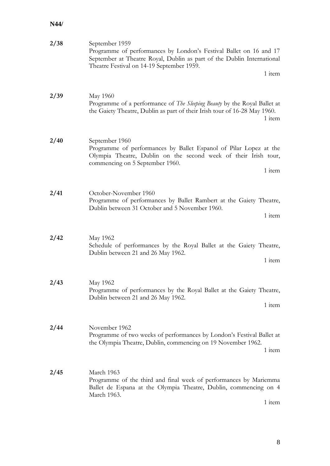| 2/38 | September 1959<br>Programme of performances by London's Festival Ballet on 16 and 17<br>September at Theatre Royal, Dublin as part of the Dublin International<br>Theatre Festival on 14-19 September 1959.<br>1 item |
|------|-----------------------------------------------------------------------------------------------------------------------------------------------------------------------------------------------------------------------|
| 2/39 | May 1960<br>Programme of a performance of <i>The Sleeping Beauty</i> by the Royal Ballet at<br>the Gaiety Theatre, Dublin as part of their Irish tour of 16-28 May 1960.<br>1 item                                    |
| 2/40 | September 1960<br>Programme of performances by Ballet Espanol of Pilar Lopez at the<br>Olympia Theatre, Dublin on the second week of their Irish tour,<br>commencing on 5 September 1960.<br>1 item                   |
| 2/41 | October-November 1960<br>Programme of performances by Ballet Rambert at the Gaiety Theatre,<br>Dublin between 31 October and 5 November 1960.<br>1 item                                                               |
| 2/42 | May 1962<br>Schedule of performances by the Royal Ballet at the Gaiety Theatre,<br>Dublin between 21 and 26 May 1962.<br>1 item                                                                                       |
| 2/43 | May 1962<br>Programme of performances by the Royal Ballet at the Gaiety Theatre,<br>Dublin between 21 and 26 May 1962.<br>1 item                                                                                      |
| 2/44 | November 1962<br>Programme of two weeks of performances by London's Festival Ballet at<br>the Olympia Theatre, Dublin, commencing on 19 November 1962.<br>1 item                                                      |
| 2/45 | March 1963<br>Programme of the third and final week of performances by Mariemma<br>Ballet de Espana at the Olympia Theatre, Dublin, commencing on 4<br>March 1963.<br>1 item                                          |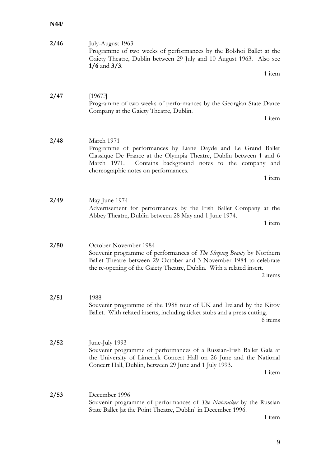| 2/46 | July-August 1963<br>Programme of two weeks of performances by the Bolshoi Ballet at the<br>Gaiety Theatre, Dublin between 29 July and 10 August 1963. Also see<br>$1/6$ and $3/3$ .<br>1 item                                                                     |
|------|-------------------------------------------------------------------------------------------------------------------------------------------------------------------------------------------------------------------------------------------------------------------|
| 2/47 | [1967]<br>Programme of two weeks of performances by the Georgian State Dance<br>Company at the Gaiety Theatre, Dublin.<br>1 item                                                                                                                                  |
| 2/48 | March 1971<br>Programme of performances by Liane Dayde and Le Grand Ballet<br>Classique De France at the Olympia Theatre, Dublin between 1 and 6<br>Contains background notes to the company and<br>March 1971.<br>choreographic notes on performances.<br>1 item |
| 2/49 | May-June 1974<br>Advertisement for performances by the Irish Ballet Company at the<br>Abbey Theatre, Dublin between 28 May and 1 June 1974.<br>1 item                                                                                                             |
| 2/50 | October-November 1984<br>Souvenir programme of performances of The Sleeping Beauty by Northern<br>Ballet Theatre between 29 October and 3 November 1984 to celebrate<br>the re-opening of the Gaiety Theatre, Dublin. With a related insert.<br>2 items           |
| 2/51 | 1988<br>Souvenir programme of the 1988 tour of UK and Ireland by the Kirov<br>Ballet. With related inserts, including ticket stubs and a press cutting.<br>6 items                                                                                                |
| 2/52 | June-July 1993<br>Souvenir programme of performances of a Russian-Irish Ballet Gala at<br>the University of Limerick Concert Hall on 26 June and the National<br>Concert Hall, Dublin, between 29 June and 1 July 1993.<br>1 item                                 |
| 2/53 | December 1996<br>Souvenir programme of performances of <i>The Nuteracker</i> by the Russian<br>State Ballet [at the Point Theatre, Dublin] in December 1996.<br>1 item                                                                                            |

9